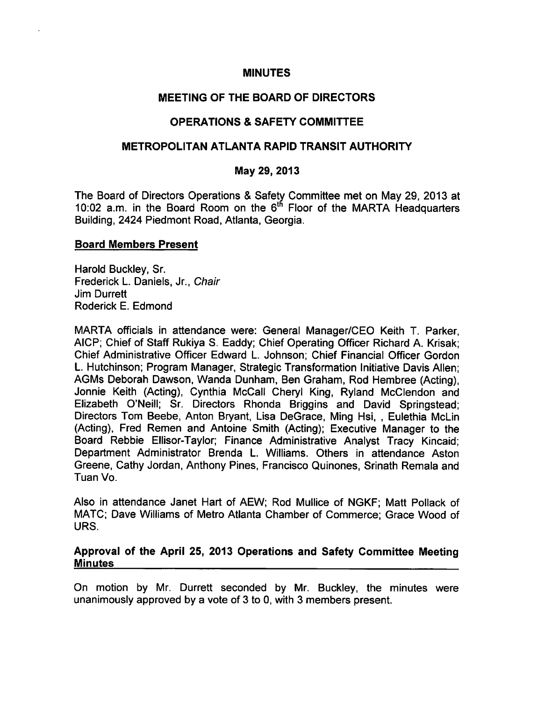### **MINUTES**

# **MEETING OF THE BOARD OF DIRECTORS**

# **OPERATIONS & SAFETY COMMITTEE**

# METROPOLITAN ATLANTA RAPID TRANSIT AUTHORITY

## May 29, 2013

The Board of Directors Operations & Safety Committee met on May 29, 2013 at 10:02 a.m. in the Board Room on the 6<sup>th</sup> Floor of the MARTA Headquarters Building, 2424 Piedmont Road, Atlanta, Georgia.

### **Board Members Present**

Harold Buckley, Sr. Frederick L. Daniels, Jr., Chair Jim Durrett Roderick E. Edmond

MARTA officials in attendance were: General Manager/CEO Keith T. Parker, AICP; Chief of Staff Rukiya S. Eaddy; Chief Operating Officer Richard A. Krisak: Chief Administrative Officer Edward L. Johnson; Chief Financial Officer Gordon L. Hutchinson; Program Manager, Strategic Transformation Initiative Davis Allen; AGMs Deborah Dawson, Wanda Dunham, Ben Graham, Rod Hembree (Acting), Jonnie Keith (Acting), Cynthia McCall Cheryl King, Ryland McClendon and Elizabeth O'Neill: Sr. Directors Rhonda Briggins and David Springstead; Directors Tom Beebe, Anton Bryant, Lisa DeGrace, Ming Hsi, , Eulethia McLin (Acting), Fred Remen and Antoine Smith (Acting); Executive Manager to the Board Rebbie Ellisor-Taylor; Finance Administrative Analyst Tracy Kincaid; Department Administrator Brenda L. Williams. Others in attendance Aston Greene, Cathy Jordan, Anthony Pines, Francisco Quinones, Srinath Remala and Tuan Vo.

Also in attendance Janet Hart of AEW; Rod Mullice of NGKF; Matt Pollack of MATC; Dave Williams of Metro Atlanta Chamber of Commerce; Grace Wood of URS.

## Approval of the April 25, 2013 Operations and Safety Committee Meeting **Minutes**

On motion by Mr. Durrett seconded by Mr. Buckley, the minutes were unanimously approved by a vote of 3 to 0, with 3 members present.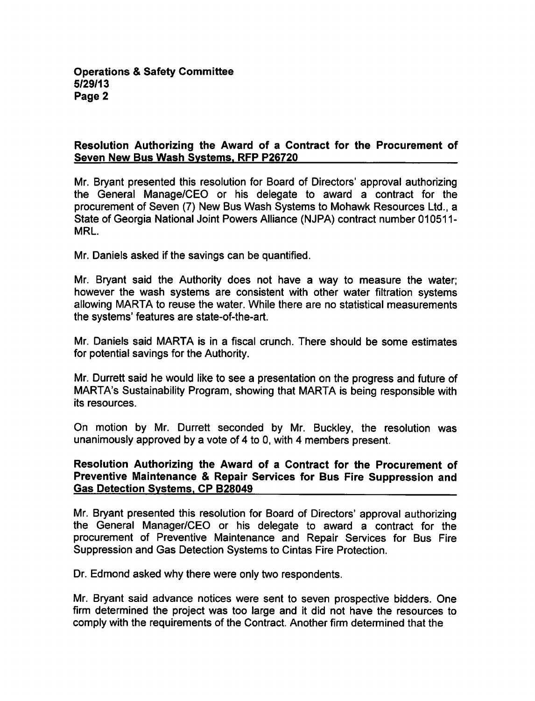## Resolution Authorizing the Award of a Contract for the Procurement of Seven New Bus Wash Systems. RFP P26720

Mr. Bryant presented this resolution for Board of Directors' approval authorizing the General Manage/CEO or his delegate to award a contract for the procurement of Seven (7) New Bus Wash Systems to Mohawk Resources Ltd., State of Georgia National Joint Powers Alliance (NJPA) contract number 010511- MRL

Mr. Daniels asked if the savings can be quantified.

Mr. Bryant said the Authority does not have a way to measure the water; however the wash systems are consistent with other water filtration systems allowing MARTA to reuse the water. While there are no statistical measurements the systems' features are state-of-the-art.

Mr. Daniels said MARTA is in a fiscal crunch. There should be some estimates for potential savings for the Authority.

Mr. Durrett said he would like to see a presentation on the progress and future of MARTA's Sustainability Program, showing that MARTA is being responsible with its resources.

On motion by Mr. Durrett seconded by Mr. Buckley, the resolution was unanimously approved by a vote of 4 to 0, with 4 members present.

#### Resolution Authorizing the Award of a Contract for the Procurement of Preventive Maintenance & Repair Services for Bus Fire Suppression and Gas Detection Systems. CP B28049

Mr. Bryant presented this resolution for Board of Directors' approval authorizing the General Manager/CEO or his delegate to award a contract for the procurement of Preventive Maintenance and Repair Services for Bus Fire Suppression and Gas Detection Systems to Cintas Fire Protection.

Dr. Edmond asked why there were only two respondents.

Mr. Bryant said advance notices were sent to seven prospective bidders. One firm determined the project was too large and it did not have the resources to comply with the requirements of the Contract. Another firm determined that the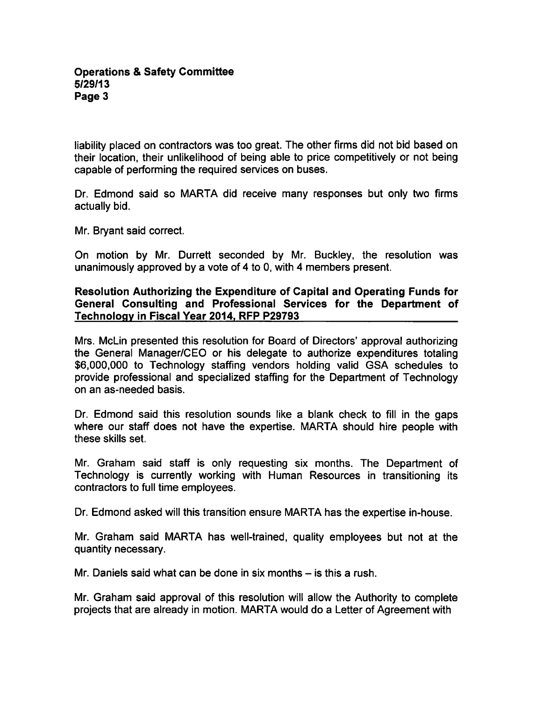liability placed on contractors was too great. The other firms did not bid based on their location, their unlikelihood of being able to price competitively or not being capable of performing the required services on buses.

Dr. Edmond said so MARTA did receive many responses but only two firms actually bid.

Mr. Bryant said correct.

On motion by Mr. Durrett seconded by Mr. Buckley, the resolution was unanimously approved by a vote of  $4$  to 0, with  $4$  members present.

## Resolution Authorizing the Expenditure of Capital and Operating Funds for General Consulting and Professional Services for the Department of Technology in Fiscal Year 2014. RFP P29793

Mrs. McLin presented this resolution for Board of Directors' approval authorizing the General Manager/CEO or his delegate to authorize expenditures totaling \$6,000,000 to Technology staffing vendors holding valid GSA schedules to provide professional and specialized staffing for the Department of Technology on an as-needed basis.

Dr. Edmond said this resolution sounds like a blank check to fill in the gaps where our staff does not have the expertise. MARTA should hire people with these skills set.

Mr. Graham said staff is only requesting six months. The Department of Technology is currently working with Human Resources in transitioning its contractors to full time employees.

Dr. Edmond asked will this transition ensure MARTA has the expertise in-house.

Mr. Graham said MARTA has well-trained, quality employees but not at the quantity necessary.

Mr. Daniels said what can be done in six months  $-$  is this a rush.

Mr. Graham said approval of this resolution will allow the Authority to complete projects that are already in motion. MARTA would do a Letter of Agreement with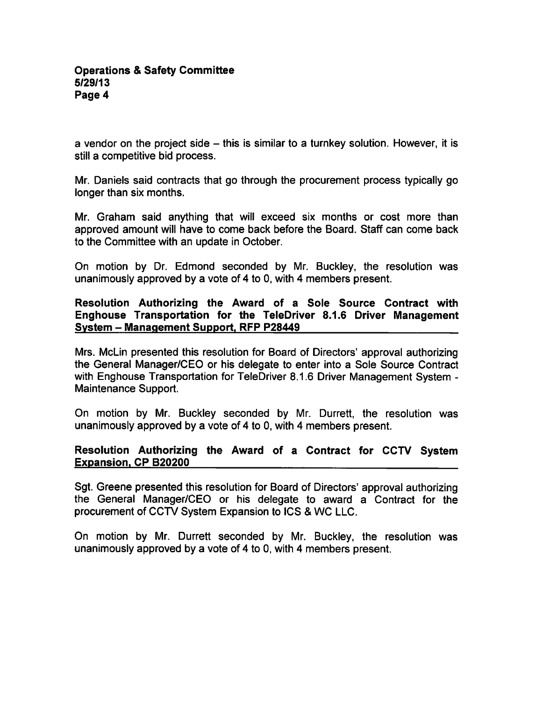a vendor on the project side  $-$  this is similar to a turnkey solution. However, it is still a competitive bid process.

Mr. Daniels said contracts that go through the procurement process typically go longer than six months.

Mr. Graham said anything that will exceed six months or cost more than approved amount will have to come back before the Board. Staff can come back to the Committee with an update in October.

On motion by Dr. Edmond seconded by Mr. Buckley, the resolution was unanimously approved by a vote of 4 to 0, with 4 members present.

## Resolution Authorizing the Award of a Sole Source Contract with Enghouse Transportation for the TeleDriver 8.1.6 Driver Management System - Management Support, RFP P28449

Mrs. McLin presented this resolution for Board of Directors' approval authorizing the General Manager/CEO or his delegate to enter into a Sole Source Contract with Enghouse Transportation for TeleDriver 8.1.6 Driver Management System -Maintenance Support.

On motion by Mr. Buckley seconded by Mr. Durrett, the resolution was unanimously approved by a vote of 4 to 0, with 4 members present.

## Resolution Authorizing the Award of a Contract for CCTV System Expansion. CP B20200

Sgt. Greene presented this resolution for Board of Directors' approval authorizing the General Manager/CEO or his delegate to award a Contract for the procurement of CCTV System Expansion to ICS & WC LLC.

On motion by Mr. Durrett seconded by Mr. Buckley, the resolution was unanimously approved by a vote of 4 to 0, with 4 members present.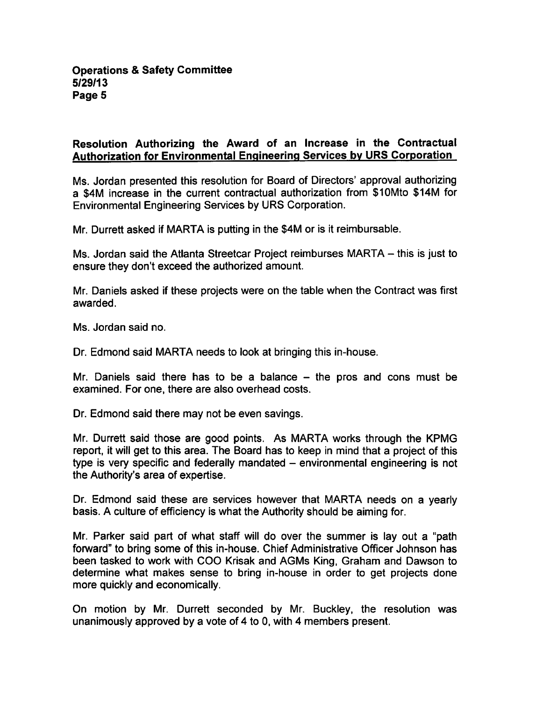# Resolution Authorizing the Award of an Increase in the Contractual Authorization for Environmental Engineering Services bv URS Corporation

Ms. Jordan presented this resolution for Board of Directors' approval authorizing a \$4M increase in the current contractual authorization from \$10Mto \$14M for Environmental Engineering Services by URS Corporation.

Mr. Durrett asked if MARTA is putting in the \$4M or is it reimbursable.

Ms. Jordan said the Atlanta Streetcar Project reimburses MARTA  $-$  this is just to ensure they don't exceed the authorized amount.

Mr. Daniels asked if these projects were on the table when the Contract was first awarded.

Ms. Jordan said no.

Dr. Edmond said MARTA needs to look at bringing this in-house.

Mr. Daniels said there has to be a balance  $-$  the pros and cons must be examined. For one, there are also overhead costs.

Dr. Edmond said there may not be even savings.

Mr. Durrett said those are good points. As MARTA works through the KPMG report, it will get to this area. The Board has to keep in mind that a project of this type is very specific and federally mandated – environmental engineering is not the Authority's area of expertise.

Dr. Edmond said these are services however that MARTA needs on a vearly basis. A culture of efficiency is what the Authority should be aiming for.

Mr. Parker said part of what staff will do over the summer is lay out a "path" forward" to bring some of this in-house. Chief Administrative Officer Johnson has been tasked to work with COO Krisak and AGMs King, Graham and Dawson to determine what makes sense to bring in-house in order to get projects done more quickly and economically.

On motion by Mr. Durrett seconded by Mr. Buckley, the resolution was unanimously approved by a vote of  $4$  to 0, with  $4$  members present.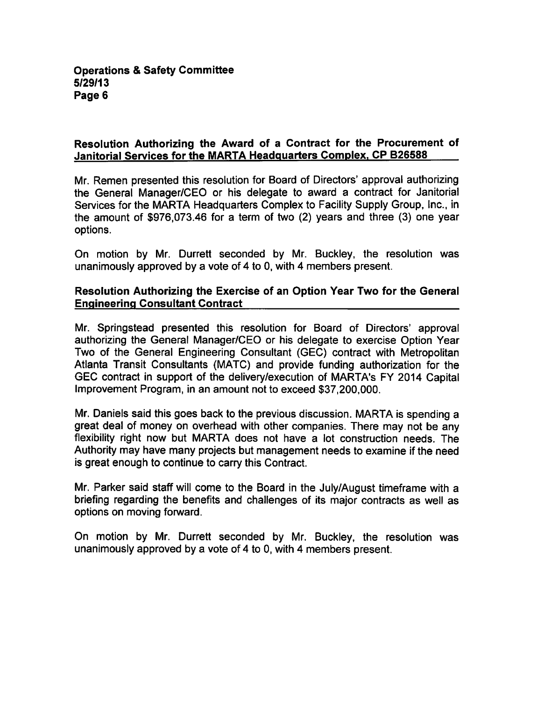## Resolution Authorizing the Award of a Contract for the Procurement of Janitorial Services for the MARTA Headquarters Complex. CP B26588

Mr. Remen presented this resolution for Board of Directors' approval authorizing the General Manager/CEO or his delegate to award a contract for Janitorial Services for the MARTA Headquarters Complex to Facility Supply Group, Inc., in the amount of  $$976,073.46$  for a term of two (2) years and three (3) one year options.

On motion by Mr. Durrett seconded by Mr. Buckley, the resolution was unanimously approved by a vote of 4 to 0, with 4 members present.

## Resolution Authorizing the Exercise of an Option Year Two for the General Engineering Consultant Contract

Mr. Springstead presented this resolution for Board of Directors' approval authorizing the General Manager/CEO or his delegate to exercise Option Year Two of the General Engineering Consultant (GEC) contract with Metropolitan Atlanta Transit Consultants (MATC) and provide funding authorization for the GEC contract in support of the delivery/execution of MARTA's FY 2014 Capital Improvement Program, in an amount not to exceed \$37,200,000.

Mr. Daniels said this goes back to the previous discussion. MARTA is spending great deal of money on overhead with other companies. There may not be any flexibility right now but MARTA does not have a lot construction needs. The Authority may have many projects but management needs to examine if the need is great enough to continue to carry this Contract.

Mr. Parker said staff will come to the Board in the July/August timeframe with a briefing regarding the benefits and challenges of its major contracts as well as options on moving forward.

On motion by Mr. Durrett seconded by Mr. Buckley, the resolution was unanimously approved by a vote of 4 to 0, with 4 members present.